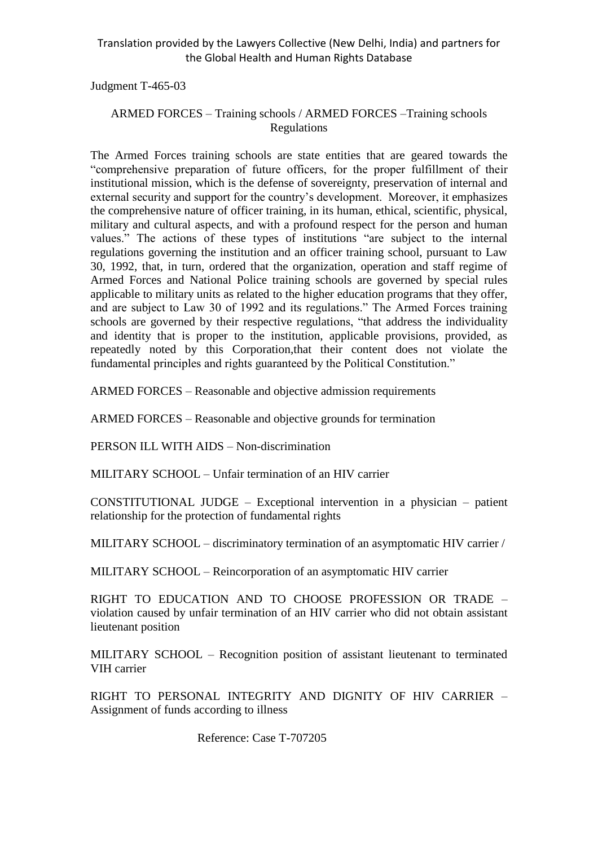Judgment T-465-03

#### ARMED FORCES – Training schools / ARMED FORCES –Training schools Regulations

The Armed Forces training schools are state entities that are geared towards the "comprehensive preparation of future officers, for the proper fulfillment of their institutional mission, which is the defense of sovereignty, preservation of internal and external security and support for the country's development. Moreover, it emphasizes the comprehensive nature of officer training, in its human, ethical, scientific, physical, military and cultural aspects, and with a profound respect for the person and human values." The actions of these types of institutions "are subject to the internal regulations governing the institution and an officer training school, pursuant to Law 30, 1992, that, in turn, ordered that the organization, operation and staff regime of Armed Forces and National Police training schools are governed by special rules applicable to military units as related to the higher education programs that they offer, and are subject to Law 30 of 1992 and its regulations." The Armed Forces training schools are governed by their respective regulations, "that address the individuality and identity that is proper to the institution, applicable provisions, provided, as repeatedly noted by this Corporation,that their content does not violate the fundamental principles and rights guaranteed by the Political Constitution."

ARMED FORCES – Reasonable and objective admission requirements

ARMED FORCES – Reasonable and objective grounds for termination

PERSON ILL WITH AIDS – Non-discrimination

MILITARY SCHOOL – Unfair termination of an HIV carrier

CONSTITUTIONAL JUDGE – Exceptional intervention in a physician – patient relationship for the protection of fundamental rights

MILITARY SCHOOL – discriminatory termination of an asymptomatic HIV carrier /

MILITARY SCHOOL – Reincorporation of an asymptomatic HIV carrier

RIGHT TO EDUCATION AND TO CHOOSE PROFESSION OR TRADE – violation caused by unfair termination of an HIV carrier who did not obtain assistant lieutenant position

MILITARY SCHOOL – Recognition position of assistant lieutenant to terminated VIH carrier

RIGHT TO PERSONAL INTEGRITY AND DIGNITY OF HIV CARRIER – Assignment of funds according to illness

Reference: Case T-707205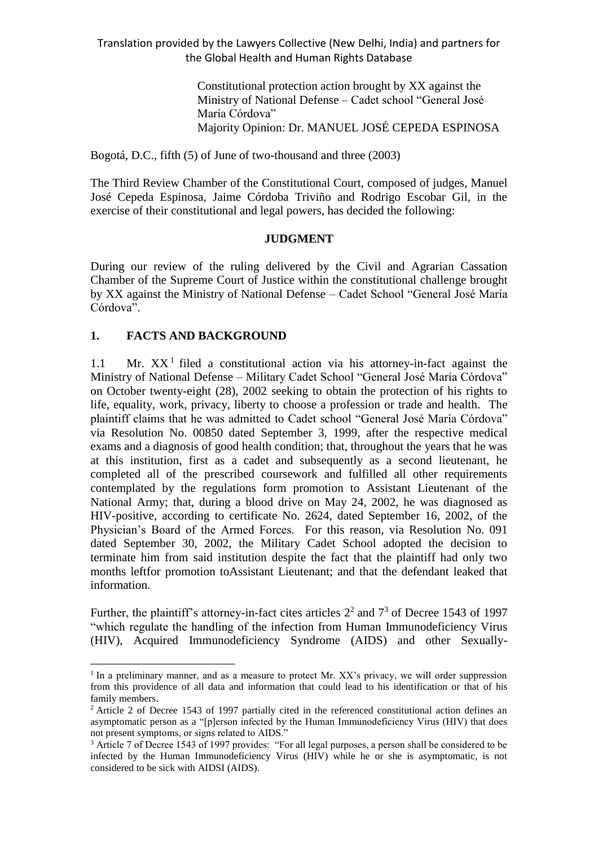> Constitutional protection action brought by XX against the Ministry of National Defense – Cadet school "General José María Córdova" Majority Opinion: Dr. MANUEL JOSÉ CEPEDA ESPINOSA

Bogotá, D.C., fifth (5) of June of two-thousand and three (2003)

The Third Review Chamber of the Constitutional Court, composed of judges, Manuel José Cepeda Espinosa, Jaime Córdoba Triviño and Rodrigo Escobar Gil, in the exercise of their constitutional and legal powers, has decided the following:

#### **JUDGMENT**

During our review of the ruling delivered by the Civil and Agrarian Cassation Chamber of the Supreme Court of Justice within the constitutional challenge brought by XX against the Ministry of National Defense – Cadet School "General José María Córdova".

# **1. FACTS AND BACKGROUND**

 $\overline{a}$ 

1.1 Mr.  $XX<sup>1</sup>$  filed a constitutional action via his attorney-in-fact against the Ministry of National Defense – Military Cadet School "General José María Córdova" on October twenty-eight (28), 2002 seeking to obtain the protection of his rights to life, equality, work, privacy, liberty to choose a profession or trade and health. The plaintiff claims that he was admitted to Cadet school "General José María Córdova" via Resolution No. 00850 dated September 3, 1999, after the respective medical exams and a diagnosis of good health condition; that, throughout the years that he was at this institution, first as a cadet and subsequently as a second lieutenant, he completed all of the prescribed coursework and fulfilled all other requirements contemplated by the regulations form promotion to Assistant Lieutenant of the National Army; that, during a blood drive on May 24, 2002, he was diagnosed as HIV-positive, according to certificate No. 2624, dated September 16, 2002, of the Physician's Board of the Armed Forces. For this reason, via Resolution No. 091 dated September 30, 2002, the Military Cadet School adopted the decision to terminate him from said institution despite the fact that the plaintiff had only two months leftfor promotion toAssistant Lieutenant; and that the defendant leaked that information.

Further, the plaintiff's attorney-in-fact cites articles  $2^2$  and  $7^3$  of Decree 1543 of 1997 "which regulate the handling of the infection from Human Immunodeficiency Virus (HIV), Acquired Immunodeficiency Syndrome (AIDS) and other Sexually-

<sup>&</sup>lt;sup>1</sup> In a preliminary manner, and as a measure to protect Mr. XX's privacy, we will order suppression from this providence of all data and information that could lead to his identification or that of his family members.

<sup>&</sup>lt;sup>2</sup> Article 2 of Decree 1543 of 1997 partially cited in the referenced constitutional action defines an asymptomatic person as a "[p]erson infected by the Human Immunodeficiency Virus (HIV) that does not present symptoms, or signs related to AIDS."

<sup>3</sup> Article 7 of Decree 1543 of 1997 provides: "For all legal purposes, a person shall be considered to be infected by the Human Immunodeficiency Virus (HIV) while he or she is asymptomatic, is not considered to be sick with AIDSI (AIDS).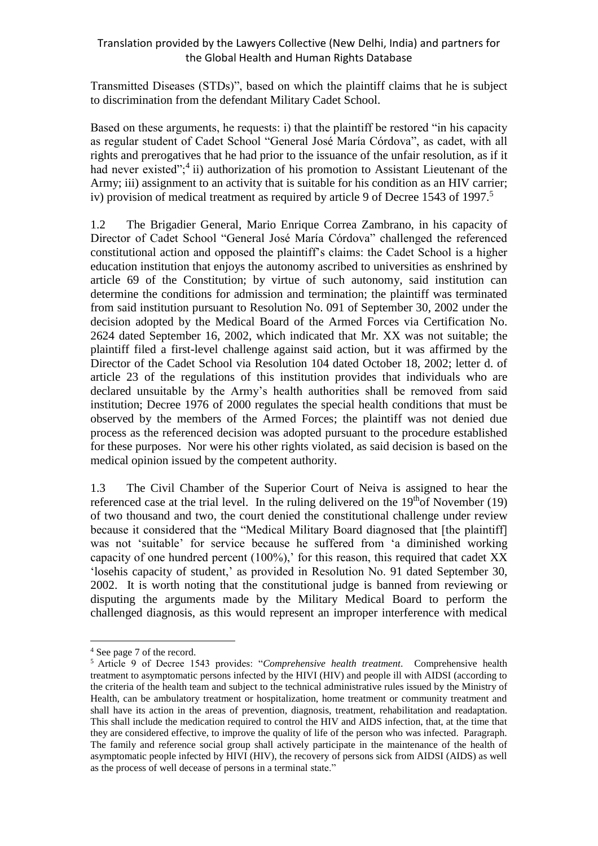Transmitted Diseases (STDs)", based on which the plaintiff claims that he is subject to discrimination from the defendant Military Cadet School.

Based on these arguments, he requests: i) that the plaintiff be restored "in his capacity as regular student of Cadet School "General José María Córdova", as cadet, with all rights and prerogatives that he had prior to the issuance of the unfair resolution, as if it had never existed";<sup>4</sup> ii) authorization of his promotion to Assistant Lieutenant of the Army; iii) assignment to an activity that is suitable for his condition as an HIV carrier; iv) provision of medical treatment as required by article 9 of Decree 1543 of 1997.<sup>5</sup>

1.2 The Brigadier General, Mario Enrique Correa Zambrano, in his capacity of Director of Cadet School "General José María Córdova" challenged the referenced constitutional action and opposed the plaintiff's claims: the Cadet School is a higher education institution that enjoys the autonomy ascribed to universities as enshrined by article 69 of the Constitution; by virtue of such autonomy, said institution can determine the conditions for admission and termination; the plaintiff was terminated from said institution pursuant to Resolution No. 091 of September 30, 2002 under the decision adopted by the Medical Board of the Armed Forces via Certification No. 2624 dated September 16, 2002, which indicated that Mr. XX was not suitable; the plaintiff filed a first-level challenge against said action, but it was affirmed by the Director of the Cadet School via Resolution 104 dated October 18, 2002; letter d. of article 23 of the regulations of this institution provides that individuals who are declared unsuitable by the Army's health authorities shall be removed from said institution; Decree 1976 of 2000 regulates the special health conditions that must be observed by the members of the Armed Forces; the plaintiff was not denied due process as the referenced decision was adopted pursuant to the procedure established for these purposes. Nor were his other rights violated, as said decision is based on the medical opinion issued by the competent authority.

1.3 The Civil Chamber of the Superior Court of Neiva is assigned to hear the referenced case at the trial level. In the ruling delivered on the  $19<sup>th</sup>$ of November (19) of two thousand and two, the court denied the constitutional challenge under review because it considered that the "Medical Military Board diagnosed that [the plaintiff] was not 'suitable' for service because he suffered from 'a diminished working capacity of one hundred percent (100%),' for this reason, this required that cadet XX 'losehis capacity of student,' as provided in Resolution No. 91 dated September 30, 2002. It is worth noting that the constitutional judge is banned from reviewing or disputing the arguments made by the Military Medical Board to perform the challenged diagnosis, as this would represent an improper interference with medical

<sup>4</sup> See page 7 of the record.

<sup>5</sup> Article 9 of Decree 1543 provides: "*Comprehensive health treatment*. Comprehensive health treatment to asymptomatic persons infected by the HIVI (HIV) and people ill with AIDSI (according to the criteria of the health team and subject to the technical administrative rules issued by the Ministry of Health, can be ambulatory treatment or hospitalization, home treatment or community treatment and shall have its action in the areas of prevention, diagnosis, treatment, rehabilitation and readaptation. This shall include the medication required to control the HIV and AIDS infection, that, at the time that they are considered effective, to improve the quality of life of the person who was infected. Paragraph. The family and reference social group shall actively participate in the maintenance of the health of asymptomatic people infected by HIVI (HIV), the recovery of persons sick from AIDSI (AIDS) as well as the process of well decease of persons in a terminal state."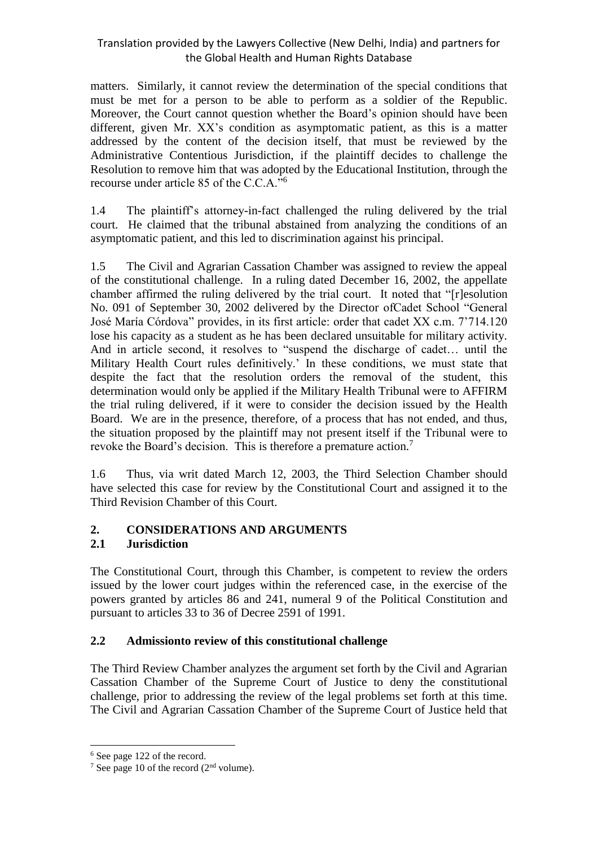matters. Similarly, it cannot review the determination of the special conditions that must be met for a person to be able to perform as a soldier of the Republic. Moreover, the Court cannot question whether the Board's opinion should have been different, given Mr. XX's condition as asymptomatic patient, as this is a matter addressed by the content of the decision itself, that must be reviewed by the Administrative Contentious Jurisdiction, if the plaintiff decides to challenge the Resolution to remove him that was adopted by the Educational Institution, through the recourse under article 85 of the C.C.A."<sup>6</sup>

1.4 The plaintiff's attorney-in-fact challenged the ruling delivered by the trial court. He claimed that the tribunal abstained from analyzing the conditions of an asymptomatic patient, and this led to discrimination against his principal.

1.5 The Civil and Agrarian Cassation Chamber was assigned to review the appeal of the constitutional challenge. In a ruling dated December 16, 2002, the appellate chamber affirmed the ruling delivered by the trial court. It noted that "[r]esolution No. 091 of September 30, 2002 delivered by the Director ofCadet School "General José María Córdova" provides, in its first article: order that cadet XX c.m. 7'714.120 lose his capacity as a student as he has been declared unsuitable for military activity. And in article second, it resolves to "suspend the discharge of cadet… until the Military Health Court rules definitively.' In these conditions, we must state that despite the fact that the resolution orders the removal of the student, this determination would only be applied if the Military Health Tribunal were to AFFIRM the trial ruling delivered, if it were to consider the decision issued by the Health Board. We are in the presence, therefore, of a process that has not ended, and thus, the situation proposed by the plaintiff may not present itself if the Tribunal were to revoke the Board's decision. This is therefore a premature action.<sup>7</sup>

1.6 Thus, via writ dated March 12, 2003, the Third Selection Chamber should have selected this case for review by the Constitutional Court and assigned it to the Third Revision Chamber of this Court.

# **2. CONSIDERATIONS AND ARGUMENTS**

# **2.1 Jurisdiction**

The Constitutional Court, through this Chamber, is competent to review the orders issued by the lower court judges within the referenced case, in the exercise of the powers granted by articles 86 and 241, numeral 9 of the Political Constitution and pursuant to articles 33 to 36 of Decree 2591 of 1991.

# **2.2 Admissionto review of this constitutional challenge**

The Third Review Chamber analyzes the argument set forth by the Civil and Agrarian Cassation Chamber of the Supreme Court of Justice to deny the constitutional challenge, prior to addressing the review of the legal problems set forth at this time. The Civil and Agrarian Cassation Chamber of the Supreme Court of Justice held that

<sup>6</sup> See page 122 of the record.

<sup>&</sup>lt;sup>7</sup> See page 10 of the record  $(2<sup>nd</sup>$  volume).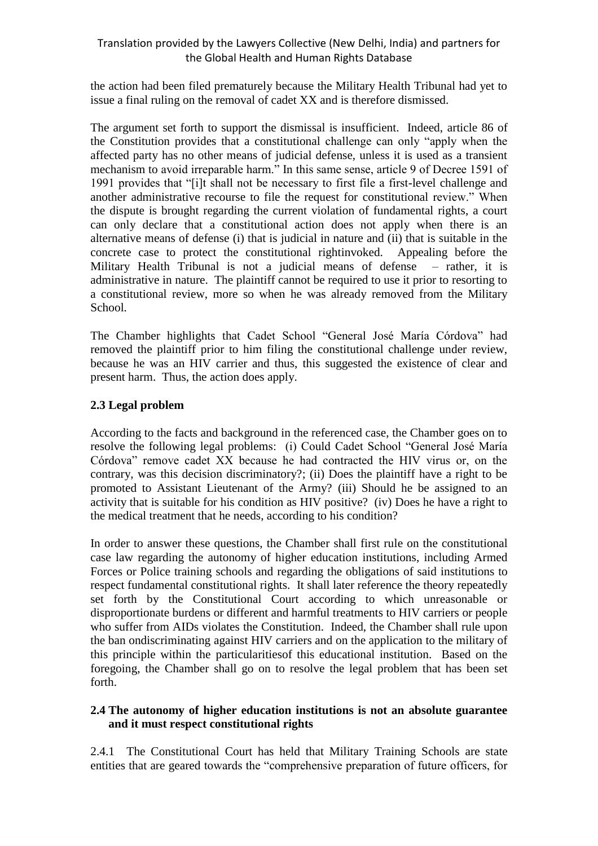the action had been filed prematurely because the Military Health Tribunal had yet to issue a final ruling on the removal of cadet XX and is therefore dismissed.

The argument set forth to support the dismissal is insufficient. Indeed, article 86 of the Constitution provides that a constitutional challenge can only "apply when the affected party has no other means of judicial defense, unless it is used as a transient mechanism to avoid irreparable harm." In this same sense, article 9 of Decree 1591 of 1991 provides that "[i]t shall not be necessary to first file a first-level challenge and another administrative recourse to file the request for constitutional review." When the dispute is brought regarding the current violation of fundamental rights, a court can only declare that a constitutional action does not apply when there is an alternative means of defense (i) that is judicial in nature and (ii) that is suitable in the concrete case to protect the constitutional rightinvoked. Appealing before the Military Health Tribunal is not a judicial means of defense – rather, it is administrative in nature. The plaintiff cannot be required to use it prior to resorting to a constitutional review, more so when he was already removed from the Military School.

The Chamber highlights that Cadet School "General José María Córdova" had removed the plaintiff prior to him filing the constitutional challenge under review, because he was an HIV carrier and thus, this suggested the existence of clear and present harm. Thus, the action does apply.

#### **2.3 Legal problem**

According to the facts and background in the referenced case, the Chamber goes on to resolve the following legal problems: (i) Could Cadet School "General José María Córdova" remove cadet XX because he had contracted the HIV virus or, on the contrary, was this decision discriminatory?; (ii) Does the plaintiff have a right to be promoted to Assistant Lieutenant of the Army? (iii) Should he be assigned to an activity that is suitable for his condition as HIV positive? (iv) Does he have a right to the medical treatment that he needs, according to his condition?

In order to answer these questions, the Chamber shall first rule on the constitutional case law regarding the autonomy of higher education institutions, including Armed Forces or Police training schools and regarding the obligations of said institutions to respect fundamental constitutional rights. It shall later reference the theory repeatedly set forth by the Constitutional Court according to which unreasonable or disproportionate burdens or different and harmful treatments to HIV carriers or people who suffer from AIDs violates the Constitution. Indeed, the Chamber shall rule upon the ban ondiscriminating against HIV carriers and on the application to the military of this principle within the particularitiesof this educational institution. Based on the foregoing, the Chamber shall go on to resolve the legal problem that has been set forth.

#### **2.4 The autonomy of higher education institutions is not an absolute guarantee and it must respect constitutional rights**

2.4.1 The Constitutional Court has held that Military Training Schools are state entities that are geared towards the "comprehensive preparation of future officers, for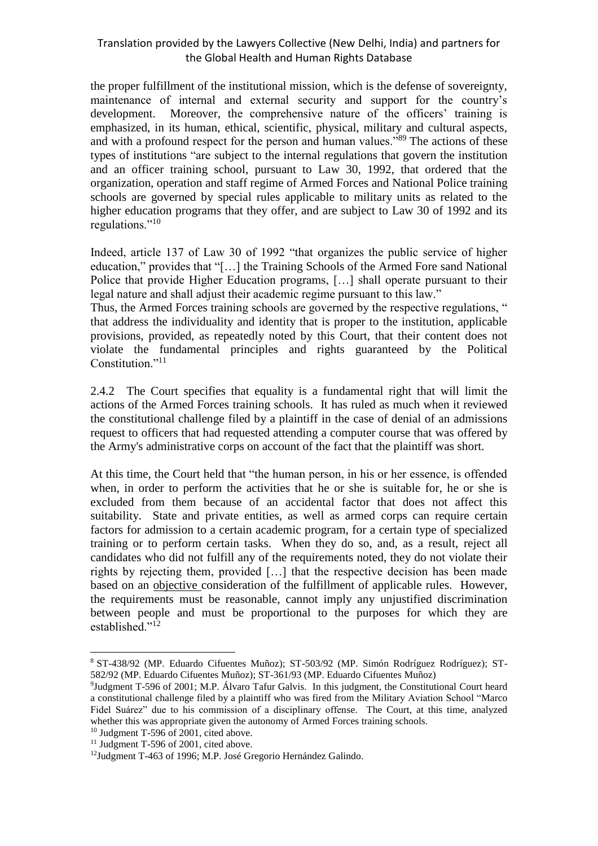the proper fulfillment of the institutional mission, which is the defense of sovereignty, maintenance of internal and external security and support for the country's development. Moreover, the comprehensive nature of the officers' training is emphasized, in its human, ethical, scientific, physical, military and cultural aspects, and with a profound respect for the person and human values."<sup>89</sup> The actions of these types of institutions "are subject to the internal regulations that govern the institution and an officer training school, pursuant to Law 30, 1992, that ordered that the organization, operation and staff regime of Armed Forces and National Police training schools are governed by special rules applicable to military units as related to the higher education programs that they offer, and are subject to Law 30 of 1992 and its regulations."<sup>10</sup>

Indeed, article 137 of Law 30 of 1992 "that organizes the public service of higher education," provides that "[…] the Training Schools of the Armed Fore sand National Police that provide Higher Education programs, […] shall operate pursuant to their legal nature and shall adjust their academic regime pursuant to this law."

Thus, the Armed Forces training schools are governed by the respective regulations, " that address the individuality and identity that is proper to the institution, applicable provisions, provided, as repeatedly noted by this Court, that their content does not violate the fundamental principles and rights guaranteed by the Political Constitution."<sup>11</sup>

2.4.2 The Court specifies that equality is a fundamental right that will limit the actions of the Armed Forces training schools. It has ruled as much when it reviewed the constitutional challenge filed by a plaintiff in the case of denial of an admissions request to officers that had requested attending a computer course that was offered by the Army's administrative corps on account of the fact that the plaintiff was short.

At this time, the Court held that "the human person, in his or her essence, is offended when, in order to perform the activities that he or she is suitable for, he or she is excluded from them because of an accidental factor that does not affect this suitability. State and private entities, as well as armed corps can require certain factors for admission to a certain academic program, for a certain type of specialized training or to perform certain tasks. When they do so, and, as a result, reject all candidates who did not fulfill any of the requirements noted, they do not violate their rights by rejecting them, provided […] that the respective decision has been made based on an objective consideration of the fulfillment of applicable rules. However, the requirements must be reasonable, cannot imply any unjustified discrimination between people and must be proportional to the purposes for which they are established."<sup>12</sup>

<sup>8</sup> ST-438/92 (MP. Eduardo Cifuentes Muñoz); ST-503/92 (MP. Simón Rodríguez Rodríguez); ST-582/92 (MP. Eduardo Cifuentes Muñoz); ST-361/93 (MP. Eduardo Cifuentes Muñoz)

<sup>&</sup>lt;sup>9</sup>Judgment T-596 of 2001; M.P. Álvaro Tafur Galvis. In this judgment, the Constitutional Court heard a constitutional challenge filed by a plaintiff who was fired from the Military Aviation School "Marco Fidel Suárez" due to his commission of a disciplinary offense. The Court, at this time, analyzed whether this was appropriate given the autonomy of Armed Forces training schools.

<sup>10</sup> Judgment T-596 of 2001, cited above.

<sup>&</sup>lt;sup>11</sup> Judgment T-596 of 2001, cited above.

<sup>12</sup>Judgment T-463 of 1996; M.P. José Gregorio Hernández Galindo.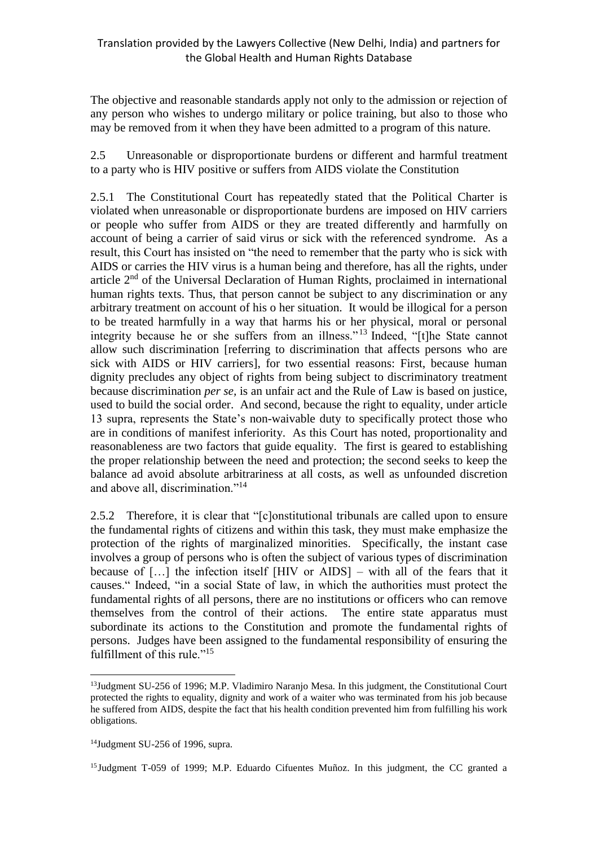The objective and reasonable standards apply not only to the admission or rejection of any person who wishes to undergo military or police training, but also to those who may be removed from it when they have been admitted to a program of this nature.

2.5 Unreasonable or disproportionate burdens or different and harmful treatment to a party who is HIV positive or suffers from AIDS violate the Constitution

2.5.1 The Constitutional Court has repeatedly stated that the Political Charter is violated when unreasonable or disproportionate burdens are imposed on HIV carriers or people who suffer from AIDS or they are treated differently and harmfully on account of being a carrier of said virus or sick with the referenced syndrome. As a result, this Court has insisted on "the need to remember that the party who is sick with AIDS or carries the HIV virus is a human being and therefore, has all the rights, under article 2nd of the Universal Declaration of Human Rights, proclaimed in international human rights texts. Thus, that person cannot be subject to any discrimination or any arbitrary treatment on account of his o her situation. It would be illogical for a person to be treated harmfully in a way that harms his or her physical, moral or personal integrity because he or she suffers from an illness." <sup>13</sup> Indeed, "[t]he State cannot allow such discrimination [referring to discrimination that affects persons who are sick with AIDS or HIV carriers], for two essential reasons: First, because human dignity precludes any object of rights from being subject to discriminatory treatment because discrimination *per se,* is an unfair act and the Rule of Law is based on justice, used to build the social order. And second, because the right to equality, under article 13 supra, represents the State's non-waivable duty to specifically protect those who are in conditions of manifest inferiority. As this Court has noted, proportionality and reasonableness are two factors that guide equality. The first is geared to establishing the proper relationship between the need and protection; the second seeks to keep the balance ad avoid absolute arbitrariness at all costs, as well as unfounded discretion and above all, discrimination."<sup>14</sup>

2.5.2 Therefore, it is clear that "[c]onstitutional tribunals are called upon to ensure the fundamental rights of citizens and within this task, they must make emphasize the protection of the rights of marginalized minorities. Specifically, the instant case involves a group of persons who is often the subject of various types of discrimination because of […] the infection itself [HIV or AIDS] – with all of the fears that it causes." Indeed, "in a social State of law, in which the authorities must protect the fundamental rights of all persons, there are no institutions or officers who can remove themselves from the control of their actions. The entire state apparatus must subordinate its actions to the Constitution and promote the fundamental rights of persons. Judges have been assigned to the fundamental responsibility of ensuring the fulfillment of this rule."<sup>15</sup>

<sup>&</sup>lt;sup>13</sup>Judgment SU-256 of 1996; M.P. Vladimiro Naranjo Mesa. In this judgment, the Constitutional Court protected the rights to equality, dignity and work of a waiter who was terminated from his job because he suffered from AIDS, despite the fact that his health condition prevented him from fulfilling his work obligations.

 $14$ Judgment SU-256 of 1996, supra.

<sup>&</sup>lt;sup>15</sup> Judgment T-059 of 1999; M.P. Eduardo Cifuentes Muñoz. In this judgment, the CC granted a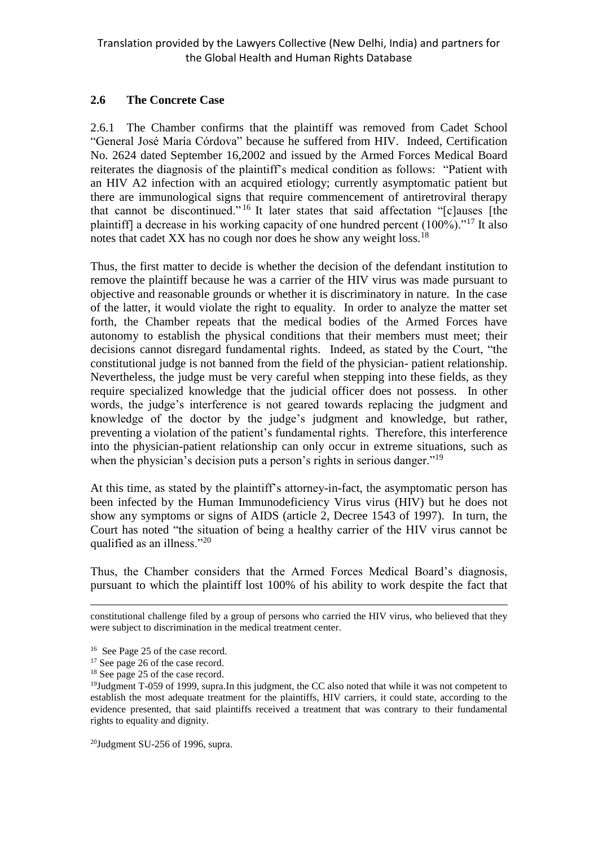# **2.6 The Concrete Case**

2.6.1 The Chamber confirms that the plaintiff was removed from Cadet School "General José María Córdova" because he suffered from HIV. Indeed, Certification No. 2624 dated September 16,2002 and issued by the Armed Forces Medical Board reiterates the diagnosis of the plaintiff's medical condition as follows: "Patient with an HIV A2 infection with an acquired etiology; currently asymptomatic patient but there are immunological signs that require commencement of antiretroviral therapy that cannot be discontinued." <sup>16</sup> It later states that said affectation "[c]auses [the plaintiff] a decrease in his working capacity of one hundred percent (100%)."<sup>17</sup> It also notes that cadet XX has no cough nor does he show any weight loss.<sup>18</sup>

Thus, the first matter to decide is whether the decision of the defendant institution to remove the plaintiff because he was a carrier of the HIV virus was made pursuant to objective and reasonable grounds or whether it is discriminatory in nature. In the case of the latter, it would violate the right to equality. In order to analyze the matter set forth, the Chamber repeats that the medical bodies of the Armed Forces have autonomy to establish the physical conditions that their members must meet; their decisions cannot disregard fundamental rights. Indeed, as stated by the Court, "the constitutional judge is not banned from the field of the physician- patient relationship. Nevertheless, the judge must be very careful when stepping into these fields, as they require specialized knowledge that the judicial officer does not possess. In other words, the judge's interference is not geared towards replacing the judgment and knowledge of the doctor by the judge's judgment and knowledge, but rather, preventing a violation of the patient's fundamental rights. Therefore, this interference into the physician-patient relationship can only occur in extreme situations, such as when the physician's decision puts a person's rights in serious danger."<sup>19</sup>

At this time, as stated by the plaintiff's attorney-in-fact, the asymptomatic person has been infected by the Human Immunodeficiency Virus virus (HIV) but he does not show any symptoms or signs of AIDS (article 2, Decree 1543 of 1997). In turn, the Court has noted "the situation of being a healthy carrier of the HIV virus cannot be qualified as an illness."<sup>20</sup>

Thus, the Chamber considers that the Armed Forces Medical Board's diagnosis, pursuant to which the plaintiff lost 100% of his ability to work despite the fact that

 $\overline{a}$ constitutional challenge filed by a group of persons who carried the HIV virus, who believed that they were subject to discrimination in the medical treatment center.

 $20$ Judgment SU-256 of 1996, supra.

<sup>16</sup> See Page 25 of the case record.

<sup>&</sup>lt;sup>17</sup> See page 26 of the case record.

<sup>&</sup>lt;sup>18</sup> See page 25 of the case record.

<sup>&</sup>lt;sup>19</sup>Judgment T-059 of 1999, supra.In this judgment, the CC also noted that while it was not competent to establish the most adequate treatment for the plaintiffs, HIV carriers, it could state, according to the evidence presented, that said plaintiffs received a treatment that was contrary to their fundamental rights to equality and dignity.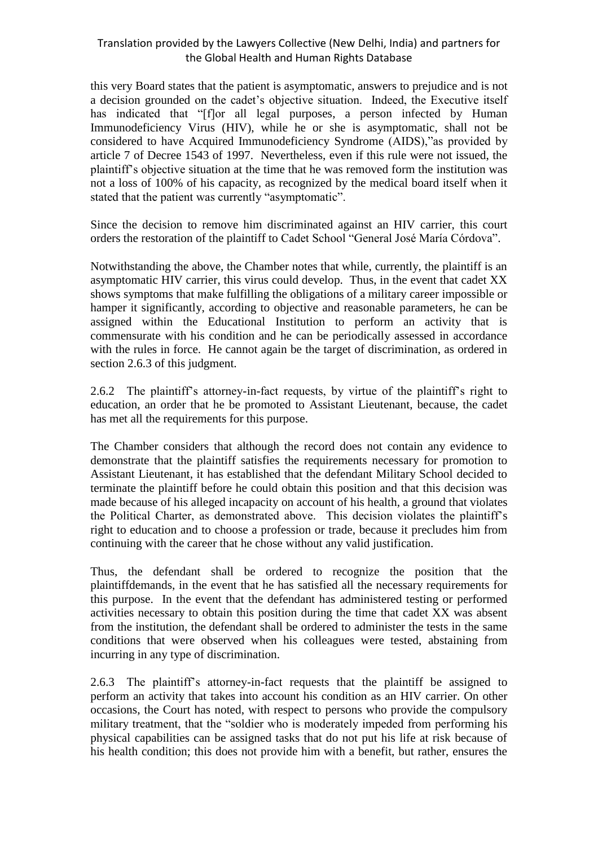this very Board states that the patient is asymptomatic, answers to prejudice and is not a decision grounded on the cadet's objective situation. Indeed, the Executive itself has indicated that "[f]or all legal purposes, a person infected by Human Immunodeficiency Virus (HIV), while he or she is asymptomatic, shall not be considered to have Acquired Immunodeficiency Syndrome (AIDS),"as provided by article 7 of Decree 1543 of 1997. Nevertheless, even if this rule were not issued, the plaintiff's objective situation at the time that he was removed form the institution was not a loss of 100% of his capacity, as recognized by the medical board itself when it stated that the patient was currently "asymptomatic".

Since the decision to remove him discriminated against an HIV carrier, this court orders the restoration of the plaintiff to Cadet School "General José María Córdova".

Notwithstanding the above, the Chamber notes that while, currently, the plaintiff is an asymptomatic HIV carrier, this virus could develop. Thus, in the event that cadet XX shows symptoms that make fulfilling the obligations of a military career impossible or hamper it significantly, according to objective and reasonable parameters, he can be assigned within the Educational Institution to perform an activity that is commensurate with his condition and he can be periodically assessed in accordance with the rules in force. He cannot again be the target of discrimination, as ordered in section 2.6.3 of this judgment.

2.6.2 The plaintiff's attorney-in-fact requests, by virtue of the plaintiff's right to education, an order that he be promoted to Assistant Lieutenant, because, the cadet has met all the requirements for this purpose.

The Chamber considers that although the record does not contain any evidence to demonstrate that the plaintiff satisfies the requirements necessary for promotion to Assistant Lieutenant, it has established that the defendant Military School decided to terminate the plaintiff before he could obtain this position and that this decision was made because of his alleged incapacity on account of his health, a ground that violates the Political Charter, as demonstrated above. This decision violates the plaintiff's right to education and to choose a profession or trade, because it precludes him from continuing with the career that he chose without any valid justification.

Thus, the defendant shall be ordered to recognize the position that the plaintiffdemands, in the event that he has satisfied all the necessary requirements for this purpose. In the event that the defendant has administered testing or performed activities necessary to obtain this position during the time that cadet XX was absent from the institution, the defendant shall be ordered to administer the tests in the same conditions that were observed when his colleagues were tested, abstaining from incurring in any type of discrimination.

2.6.3 The plaintiff's attorney-in-fact requests that the plaintiff be assigned to perform an activity that takes into account his condition as an HIV carrier. On other occasions, the Court has noted, with respect to persons who provide the compulsory military treatment, that the "soldier who is moderately impeded from performing his physical capabilities can be assigned tasks that do not put his life at risk because of his health condition; this does not provide him with a benefit, but rather, ensures the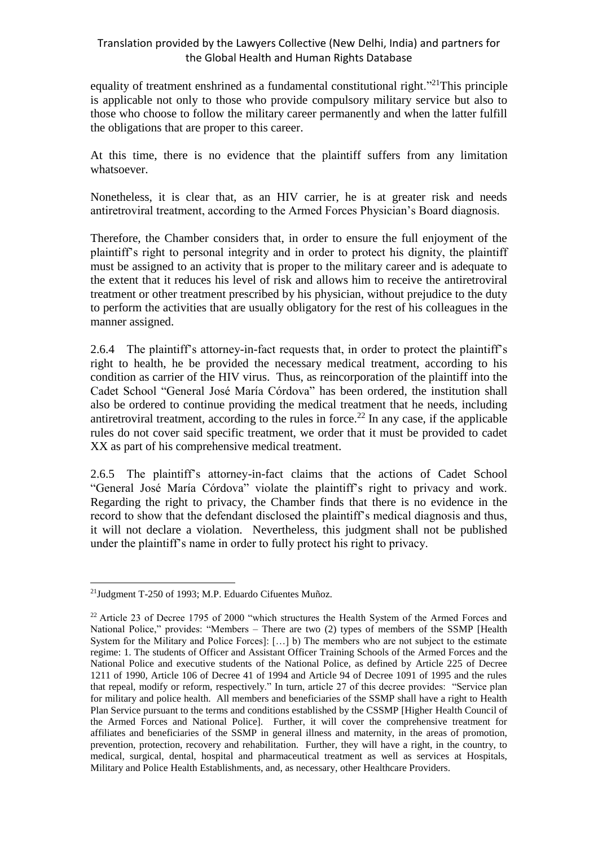equality of treatment enshrined as a fundamental constitutional right."<sup>21</sup>This principle is applicable not only to those who provide compulsory military service but also to those who choose to follow the military career permanently and when the latter fulfill the obligations that are proper to this career.

At this time, there is no evidence that the plaintiff suffers from any limitation whatsoever.

Nonetheless, it is clear that, as an HIV carrier, he is at greater risk and needs antiretroviral treatment, according to the Armed Forces Physician's Board diagnosis.

Therefore, the Chamber considers that, in order to ensure the full enjoyment of the plaintiff's right to personal integrity and in order to protect his dignity, the plaintiff must be assigned to an activity that is proper to the military career and is adequate to the extent that it reduces his level of risk and allows him to receive the antiretroviral treatment or other treatment prescribed by his physician, without prejudice to the duty to perform the activities that are usually obligatory for the rest of his colleagues in the manner assigned.

2.6.4 The plaintiff's attorney-in-fact requests that, in order to protect the plaintiff's right to health, he be provided the necessary medical treatment, according to his condition as carrier of the HIV virus. Thus, as reincorporation of the plaintiff into the Cadet School "General José María Córdova" has been ordered, the institution shall also be ordered to continue providing the medical treatment that he needs, including antiretroviral treatment, according to the rules in force.<sup>22</sup> In any case, if the applicable rules do not cover said specific treatment, we order that it must be provided to cadet XX as part of his comprehensive medical treatment.

2.6.5 The plaintiff's attorney-in-fact claims that the actions of Cadet School "General José María Córdova" violate the plaintiff's right to privacy and work. Regarding the right to privacy, the Chamber finds that there is no evidence in the record to show that the defendant disclosed the plaintiff's medical diagnosis and thus, it will not declare a violation. Nevertheless, this judgment shall not be published under the plaintiff's name in order to fully protect his right to privacy.

 $\overline{a}$ <sup>21</sup>Judgment T-250 of 1993; M.P. Eduardo Cifuentes Muñoz.

 $22$  Article 23 of Decree 1795 of 2000 "which structures the Health System of the Armed Forces and National Police," provides: "Members – There are two (2) types of members of the SSMP [Health System for the Military and Police Forces]: […] b) The members who are not subject to the estimate regime: 1. The students of Officer and Assistant Officer Training Schools of the Armed Forces and the National Police and executive students of the National Police, as defined by Article 225 of Decree 1211 of 1990, Article 106 of Decree 41 of 1994 and Article 94 of Decree 1091 of 1995 and the rules that repeal, modify or reform, respectively." In turn, article 27 of this decree provides: "Service plan for military and police health. All members and beneficiaries of the SSMP shall have a right to Health Plan Service pursuant to the terms and conditions established by the CSSMP [Higher Health Council of the Armed Forces and National Police]. Further, it will cover the comprehensive treatment for affiliates and beneficiaries of the SSMP in general illness and maternity, in the areas of promotion, prevention, protection, recovery and rehabilitation. Further, they will have a right, in the country, to medical, surgical, dental, hospital and pharmaceutical treatment as well as services at Hospitals, Military and Police Health Establishments, and, as necessary, other Healthcare Providers.